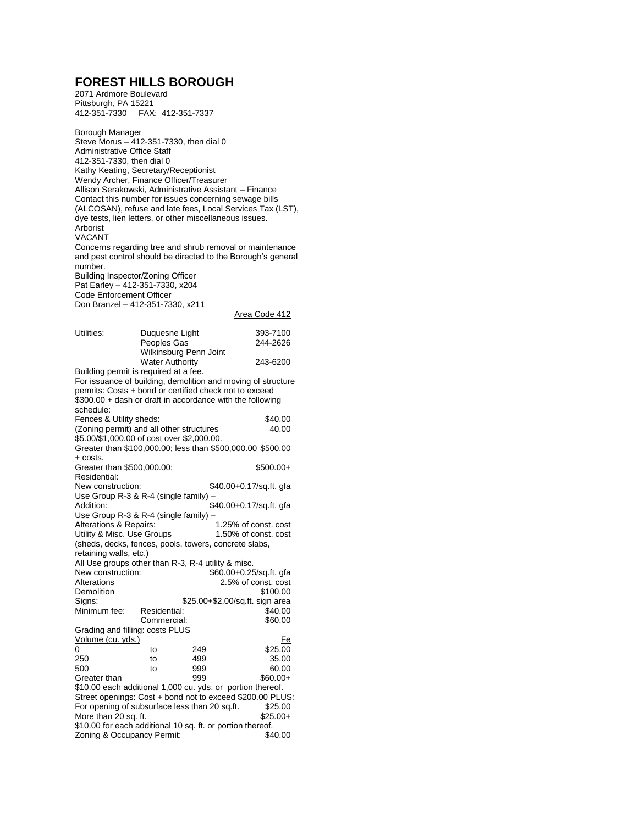## **FOREST HILLS BOROUGH**

2071 Ardmore Boulevard Pittsburgh, PA 15221 412-351-7330 FAX: 412-351-7337

Borough Manager

Steve Morus – 412-351-7330, then dial 0 Administrative Office Staff 412-351-7330, then dial 0 Kathy Keating, Secretary/Receptionist Wendy Archer, Finance Officer/Treasurer Allison Serakowski, Administrative Assistant – Finance Contact this number for issues concerning sewage bills (ALCOSAN), refuse and late fees, Local Services Tax (LST), dye tests, lien letters, or other miscellaneous issues. Arborist VACANT Concerns regarding tree and shrub removal or maintenance and pest control should be directed to the Borough's general number. Building Inspector/Zoning Officer Pat Earley – 412-351-7330, x204 Code Enforcement Officer Don Branzel – 412-351-7330, x211 Area Code 412 Utilities: Duquesne Light 393-7100 Peoples Gas 244-2626 Wilkinsburg Penn Joint Water Authority 243-6200 Building permit is required at a fee. For issuance of building, demolition and moving of structure permits: Costs + bond or certified check not to exceed \$300.00 + dash or draft in accordance with the following schedule: Fences & Utility sheds:  $\frac{40.00}{40.00}$ <br>(Zoning permit) and all other structures 40.00 (Zoning permit) and all other structures \$5.00/\$1,000.00 of cost over \$2,000.00. Greater than \$100,000.00; less than \$500,000.00 \$500.00 + costs. Greater than \$500,000.00: \$500.00+ Residential:<br>New construction: \$40.00+0.17/sq.ft. gfa Use Group R-3 & R-4 (single family) – Addition: \$40.00+0.17/sq.ft. gfa Use Group R-3 & R-4 (single family) – Alterations & Repairs: 1.25% of const. cost<br>
Utility & Misc. Use Groups 1.50% of const. cost Utility & Misc. Use Groups. (sheds, decks, fences, pools, towers, concrete slabs, retaining walls, etc.) All Use groups other than R-3, R-4 utility & misc.<br>New construction: \$60.00+0.25 New construction:  $$60.00+0.25$ /sq.ft. gfa<br>Alterations 2.5% of const. cost 2.5% of const. cost Demolition \$100.00<br>Signs: \$25.00+\$2.00/sq.ft. sign area \$25.00+\$2.00/sq.ft. sign area<br>\$40.00 \$40.00 Minimum fee: Commercial: \$60.00 Grading and filling: costs PLUS Volume (cu. yds.) Fe 0 to 249 \$25.00<br>250 to 499 35.00 250 to 499 35.00 500 to 999 60.00 Greater than  $999$  \$60.00+ \$10.00 each additional 1,000 cu. yds. or portion thereof. Street openings: Cost + bond not to exceed \$200.00 PLUS:<br>For opening of subsurface less than 20 sq.ft. \$25.00 For opening of subsurface less than 20 sq.ft. More than 20 sq. ft.  $$25.00+$ \$10.00 for each additional 10 sq. ft. or portion thereof. Zoning & Occupancy Permit:  $$40.00$